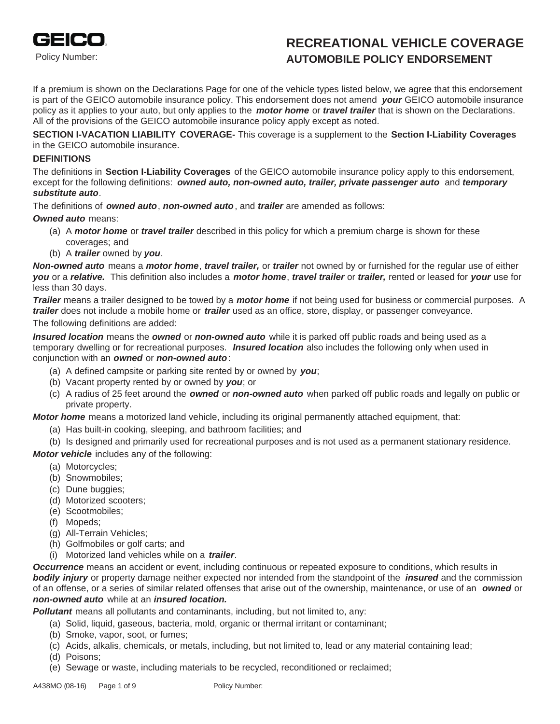

# **RECREATIONAL VEHICLE COVERAGE** Policy Number: **AUTOMOBILE POLICY ENDORSEMENT**

If a premium is shown on the Declarations Page for one of the vehicle types listed below, we agree that this endorsement is part of the GEICO automobile insurance policy. This endorsement does not amend *your* GEICO automobile insurance policy as it applies to your auto, but only applies to the *motor home* or *travel trailer* that is shown on the Declarations. All of the provisions of the GEICO automobile insurance policy apply except as noted.

**SECTION I-VACATION LIABILITY COVERAGE-** This coverage is a supplement to the **Section I-Liability Coverages**  in the GEICO automobile insurance.

#### **DEFINITIONS**

The definitions in **Section I-Liability Coverages** of the GEICO automobile insurance policy apply to this endorsement, except for the following definitions: *owned auto, non-owned auto, trailer, private passenger auto* and *temporary substitute auto*.

The definitions of *owned auto*, *non-owned auto*, and *trailer* are amended as follows:

*Owned auto* means:

- (a) A *motor home* or *travel trailer* described in this policy for which a premium charge is shown for these coverages; and
- (b) A *trailer* owned by *you*.

*Non-owned auto* means a *motor home*, *travel trailer,* or *trailer* not owned by or furnished for the regular use of either *you* or a *relative.* This definition also includes a *motor home*, *travel trailer* or *trailer,* rented or leased for *your* use for less than 30 days.

*Trailer* means a trailer designed to be towed by a *motor home* if not being used for business or commercial purposes. A *trailer* does not include a mobile home or *trailer* used as an office, store, display, or passenger conveyance.

The following definitions are added:

*Insured location* means the *owned* or *non-owned auto* while it is parked off public roads and being used as a temporary dwelling or for recreational purposes. *Insured location* also includes the following only when used in conjunction with an *owned* or *non-owned auto*:

- (a) A defined campsite or parking site rented by or owned by *you*;
- (b) Vacant property rented by or owned by *you*; or
- (c) A radius of 25 feet around the *owned* or *non-owned auto* when parked off public roads and legally on public or private property.

*Motor home* means a motorized land vehicle, including its original permanently attached equipment, that:

- (a) Has built-in cooking, sleeping, and bathroom facilities; and
- (b) Is designed and primarily used for recreational purposes and is not used as a permanent stationary residence.

*Motor vehicle* includes any of the following:

- (a) Motorcycles;
- (b) Snowmobiles;
- (c) Dune buggies;
- (d) Motorized scooters;
- (e) Scootmobiles;
- (f) Mopeds;
- (g) All-Terrain Vehicles;
- (h) Golfmobiles or golf carts; and
- (i) Motorized land vehicles while on a *trailer*.

*Occurrence* means an accident or event, including continuous or repeated exposure to conditions, which results in *bodily injury* or property damage neither expected nor intended from the standpoint of the *insured* and the commission of an offense, or a series of similar related offenses that arise out of the ownership, maintenance, or use of an *owned* or *non-owned auto* while at an *insured location.*

**Pollutant** means all pollutants and contaminants, including, but not limited to, any:

- (a) Solid, liquid, gaseous, bacteria, mold, organic or thermal irritant or contaminant;
- (b) Smoke, vapor, soot, or fumes;
- (c) Acids, alkalis, chemicals, or metals, including, but not limited to, lead or any material containing lead;
- (d) Poisons;
- (e) Sewage or waste, including materials to be recycled, reconditioned or reclaimed;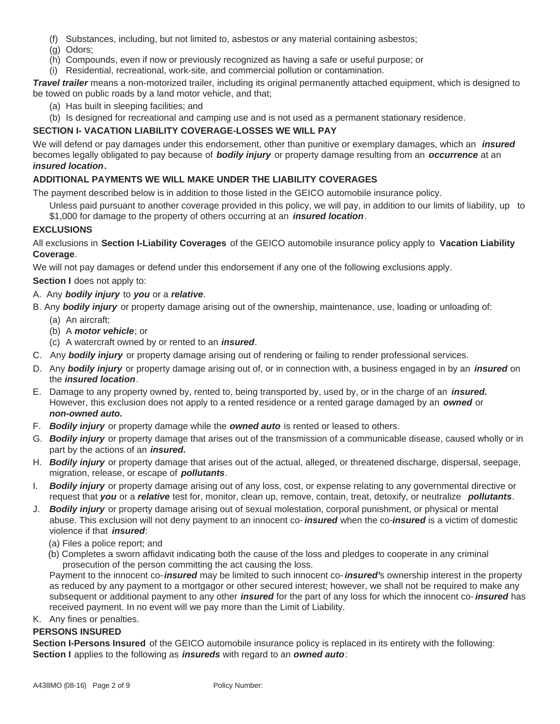- (f) Substances, including, but not limited to, asbestos or any material containing asbestos;
- (g) Odors;
- (h) Compounds, even if now or previously recognized as having a safe or useful purpose; or
- (i) Residential, recreational, work-site, and commercial pollution or contamination.

*Travel trailer* means a non-motorized trailer, including its original permanently attached equipment, which is designed to be towed on public roads by a land motor vehicle, and that;

- (a) Has built in sleeping facilities; and
- (b) Is designed for recreational and camping use and is not used as a permanent stationary residence.

### **SECTION I- VACATION LIABILITY COVERAGE-LOSSES WE WILL PAY**

We will defend or pay damages under this endorsement, other than punitive or exemplary damages, which an *insured*  becomes legally obligated to pay because of *bodily injury* or property damage resulting from an *occurrence* at an *insured location***.**

### **ADDITIONAL PAYMENTS WE WILL MAKE UNDER THE LIABILITY COVERAGES**

The payment described below is in addition to those listed in the GEICO automobile insurance policy.

Unless paid pursuant to another coverage provided in this policy, we will pay, in addition to our limits of liability, up to \$1,000 for damage to the property of others occurring at an *insured location*.

#### **EXCLUSIONS**

All exclusions in **Section I-Liability Coverages** of the GEICO automobile insurance policy apply to **Vacation Liability Coverage**.

We will not pay damages or defend under this endorsement if any one of the following exclusions apply.

**Section I** does not apply to:

#### A. Any *bodily injury* to *you* or a *relative*.

B. Any *bodily injury* or property damage arising out of the ownership, maintenance, use, loading or unloading of:

- (a) An aircraft;
- (b) A *motor vehicle*; or
- (c) A watercraft owned by or rented to an *insured*.
- C. Any *bodily injury* or property damage arising out of rendering or failing to render professional services.
- D. Any *bodily injury* or property damage arising out of, or in connection with, a business engaged in by an *insured* on the *insured location*.
- E. Damage to any property owned by, rented to, being transported by, used by, or in the charge of an *insured.*  However, this exclusion does not apply to a rented residence or a rented garage damaged by an *owned* or *non-owned auto.*
- F. *Bodily injury* or property damage while the *owned auto* is rented or leased to others.
- G. *Bodily injury* or property damage that arises out of the transmission of a communicable disease, caused wholly or in part by the actions of an *insured.*
- H. *Bodily injury* or property damage that arises out of the actual, alleged, or threatened discharge, dispersal, seepage, migration, release, or escape of *pollutants*.
- I. *Bodily injury* or property damage arising out of any loss, cost, or expense relating to any governmental directive or request that *you* or a *relative* test for, monitor, clean up, remove, contain, treat, detoxify, or neutralize *pollutants*.
- J. *Bodily injury* or property damage arising out of sexual molestation, corporal punishment, or physical or mental abuse. This exclusion will not deny payment to an innocent co- *insured* when the co-*insured* is a victim of domestic violence if that *insured*:
	- (a) Files a police report; and
	- (b) Completes a sworn affidavit indicating both the cause of the loss and pledges to cooperate in any criminal prosecution of the person committing the act causing the loss.

Payment to the innocent co-*insured* may be limited to such innocent co- *insured'*s ownership interest in the property as reduced by any payment to a mortgagor or other secured interest; however, we shall not be required to make any subsequent or additional payment to any other *insured* for the part of any loss for which the innocent co- *insured* has received payment. In no event will we pay more than the Limit of Liability.

#### K. Any fines or penalties.

### **PERSONS INSURED**

**Section I-Persons Insured** of the GEICO automobile insurance policy is replaced in its entirety with the following: **Section I** applies to the following as *insureds* with regard to an *owned auto*: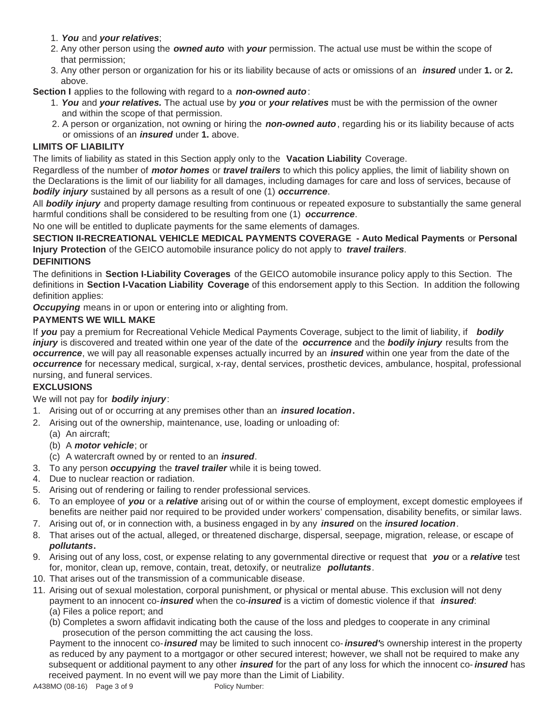- 1. *You* and *your relatives*;
- 2. Any other person using the *owned auto* with *your* permission. The actual use must be within the scope of that permission;
- 3. Any other person or organization for his or its liability because of acts or omissions of an *insured* under **1.** or **2.** above.

**Section I** applies to the following with regard to a *non-owned auto*:

- 1. *You* and *your relatives.* The actual use by *you* or *your relatives* must be with the permission of the owner and within the scope of that permission.
- 2. A person or organization, not owning or hiring the *non-owned auto*, regarding his or its liability because of acts or omissions of an *insured* under **1.** above.

# **LIMITS OF LIABILITY**

The limits of liability as stated in this Section apply only to the **Vacation Liability** Coverage.

Regardless of the number of *motor homes* or *travel trailers* to which this policy applies, the limit of liability shown on the Declarations is the limit of our liability for all damages, including damages for care and loss of services, because of *bodily injury* sustained by all persons as a result of one (1) *occurrence*.

All *bodily injury* and property damage resulting from continuous or repeated exposure to substantially the same general harmful conditions shall be considered to be resulting from one (1) *occurrence*.

No one will be entitled to duplicate payments for the same elements of damages.

**SECTION II-RECREATIONAL VEHICLE MEDICAL PAYMENTS COVERAGE - Auto Medical Payments** or **Personal Injury Protection** of the GEICO automobile insurance policy do not apply to *travel trailers*.

# **DEFINITIONS**

The definitions in **Section I-Liability Coverages** of the GEICO automobile insurance policy apply to this Section. The definitions in **Section I-Vacation Liability Coverage** of this endorsement apply to this Section. In addition the following definition applies:

*Occupying* means in or upon or entering into or alighting from.

### **PAYMENTS WE WILL MAKE**

If *you* pay a premium for Recreational Vehicle Medical Payments Coverage, subject to the limit of liability, if *bodily injury* is discovered and treated within one year of the date of the *occurrence* and the *bodily injury* results from the *occurrence*, we will pay all reasonable expenses actually incurred by an *insured* within one year from the date of the *occurrence* for necessary medical, surgical, x-ray, dental services, prosthetic devices, ambulance, hospital, professional nursing, and funeral services.

# **EXCLUSIONS**

We will not pay for *bodily injury*:

- 1. Arising out of or occurring at any premises other than an *insured location***.**
- 2. Arising out of the ownership, maintenance, use, loading or unloading of:
	- (a) An aircraft;
	- (b) A *motor vehicle*; or
	- (c) A watercraft owned by or rented to an *insured*.
- 3. To any person *occupying* the *travel trailer* while it is being towed.
- 4. Due to nuclear reaction or radiation.
- 5. Arising out of rendering or failing to render professional services.
- 6. To an employee of *you* or a *relative* arising out of or within the course of employment, except domestic employees if benefits are neither paid nor required to be provided under workers' compensation, disability benefits, or similar laws.
- 7. Arising out of, or in connection with, a business engaged in by any *insured* on the *insured location*.
- 8. That arises out of the actual, alleged, or threatened discharge, dispersal, seepage, migration, release, or escape of *pollutants***.**
- 9. Arising out of any loss, cost, or expense relating to any governmental directive or request that *you* or a *relative* test for, monitor, clean up, remove, contain, treat, detoxify, or neutralize *pollutants*.
- 10. That arises out of the transmission of a communicable disease.
- 11. Arising out of sexual molestation, corporal punishment, or physical or mental abuse. This exclusion will not deny payment to an innocent co-*insured* when the co-*insured* is a victim of domestic violence if that *insured*:
	- (a) Files a police report; and
	- (b) Completes a sworn affidavit indicating both the cause of the loss and pledges to cooperate in any criminal prosecution of the person committing the act causing the loss.

Payment to the innocent co-*insured* may be limited to such innocent co- *insured'*s ownership interest in the property as reduced by any payment to a mortgagor or other secured interest; however, we shall not be required to make any subsequent or additional payment to any other *insured* for the part of any loss for which the innocent co- *insured* has received payment. In no event will we pay more than the Limit of Liability.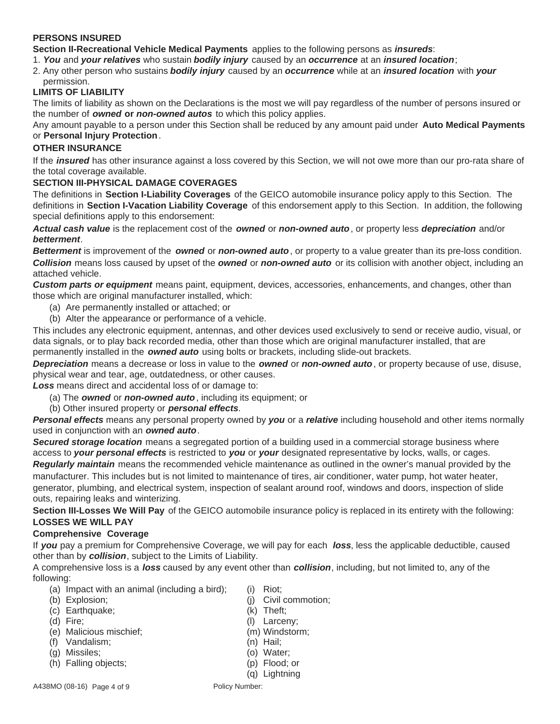#### **PERSONS INSURED**

**Section II-Recreational Vehicle Medical Payments** applies to the following persons as *insureds*:

- 1. *You* and *your relatives* who sustain *bodily injury* caused by an *occurrence* at an *insured location*;
- 2. Any other person who sustains *bodily injury* caused by an *occurrence* while at an *insured location* with *your* permission.

### **LIMITS OF LIABILITY**

The limits of liability as shown on the Declarations is the most we will pay regardless of the number of persons insured or the number of *owned* **or** *non-owned autos* to which this policy applies.

Any amount payable to a person under this Section shall be reduced by any amount paid under **Auto Medical Payments** or **Personal Injury Protection**.

### **OTHER INSURANCE**

If the *insured* has other insurance against a loss covered by this Section, we will not owe more than our pro-rata share of the total coverage available.

### **SECTION III-PHYSICAL DAMAGE COVERAGES**

The definitions in **Section I-Liability Coverages** of the GEICO automobile insurance policy apply to this Section. The definitions in **Section I-Vacation Liability Coverage** of this endorsement apply to this Section. In addition, the following special definitions apply to this endorsement:

*Actual cash value* is the replacement cost of the *owned* or *non-owned auto*, or property less *depreciation* and/or *betterment*.

**Betterment** is improvement of the *owned* or *non-owned auto*, or property to a value greater than its pre-loss condition. *Collision* means loss caused by upset of the *owned* or *non-owned auto* or its collision with another object, including an attached vehicle.

*Custom parts or equipment* means paint, equipment, devices, accessories, enhancements, and changes, other than those which are original manufacturer installed, which:

- (a) Are permanently installed or attached; or
- (b) Alter the appearance or performance of a vehicle.

This includes any electronic equipment, antennas, and other devices used exclusively to send or receive audio, visual, or data signals, or to play back recorded media, other than those which are original manufacturer installed, that are permanently installed in the *owned auto* using bolts or brackets, including slide-out brackets.

*Depreciation* means a decrease or loss in value to the *owned* or *non-owned auto*, or property because of use, disuse, physical wear and tear, age, outdatedness, or other causes.

*Loss* means direct and accidental loss of or damage to:

- (a) The *owned* or *non-owned auto*, including its equipment; or
- (b) Other insured property or *personal effects*.

*Personal effects* means any personal property owned by *you* or a *relative* including household and other items normally used in conjunction with an *owned auto*.

*Secured storage location* means a segregated portion of a building used in a commercial storage business where access to *your personal effects* is restricted to *you* or *your* designated representative by locks, walls, or cages. *Regularly maintain* means the recommended vehicle maintenance as outlined in the owner's manual provided by the

manufacturer. This includes but is not limited to maintenance of tires, air conditioner, water pump, hot water heater, generator, plumbing, and electrical system, inspection of sealant around roof, windows and doors, inspection of slide outs, repairing leaks and winterizing.

**Section III-Losses We Will Pay** of the GEICO automobile insurance policy is replaced in its entirety with the following: **LOSSES WE WILL PAY**

### **Comprehensive Coverage**

If *you* pay a premium for Comprehensive Coverage, we will pay for each *loss*, less the applicable deductible, caused other than by *collision*, subject to the Limits of Liability.

A comprehensive loss is a *loss* caused by any event other than *collision*, including, but not limited to, any of the following:

- (a) Impact with an animal (including a bird);  $(i)$  Riot;
- 
- (c) Earthquake; (k) Theft;
- 
- (e) Malicious mischief; (m) Windstorm;
- (f) Vandalism; (n) Hail;
- (g) Missiles; (o) Water;
- (h) Falling objects; (p) Flood; or
- 
- (b) Explosion; (b) Civil commotion;
	-
- (d) Fire; (l) Larceny;
	-
	-
	-
	-
	- (q) Lightning

Policy Number: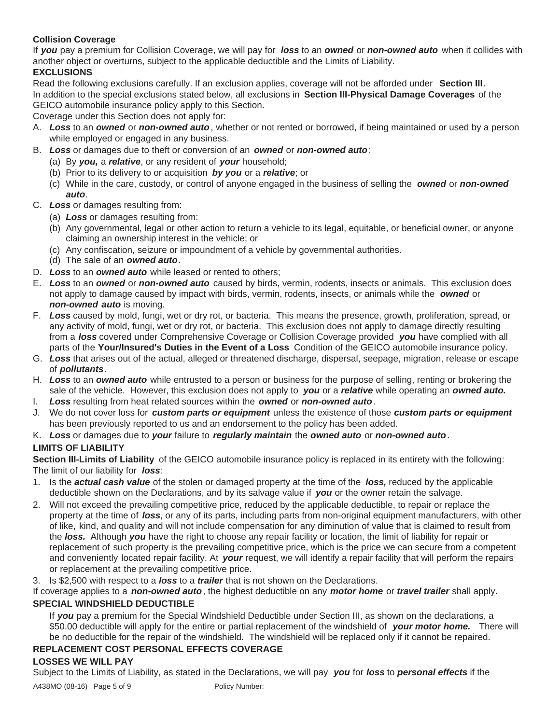# **Collision Coverage**

If *you* pay a premium for Collision Coverage, we will pay for *loss* to an *owned* or *non-owned auto* when it collides with another object or overturns, subject to the applicable deductible and the Limits of Liability.

# **EXCLUSIONS**

Read the following exclusions carefully. If an exclusion applies, coverage will not be afforded under **Section III**. In addition to the special exclusions stated below, all exclusions in **Section III-Physical Damage Coverages** of the GEICO automobile insurance policy apply to this Section.

Coverage under this Section does not apply for:

- A. *Loss* to an *owned* or *non-owned auto*, whether or not rented or borrowed, if being maintained or used by a person while employed or engaged in any business.
- B. *Loss* or damages due to theft or conversion of an *owned* or *non-owned auto*:
	- (a) By *you,* a *relative*, or any resident of *your* household;
	- (b) Prior to its delivery to or acquisition *by you* or a *relative*; or
	- (c) While in the care, custody, or control of anyone engaged in the business of selling the *owned* or *non-owned auto*.
- C. *Loss* or damages resulting from:
	- (a) *Loss* or damages resulting from:
	- (b) Any governmental, legal or other action to return a vehicle to its legal, equitable, or beneficial owner, or anyone claiming an ownership interest in the vehicle; or
	- (c) Any confiscation, seizure or impoundment of a vehicle by governmental authorities.
	- (d) The sale of an *owned auto*.
- D. *Loss* to an *owned auto* while leased or rented to others;
- E. *Loss* to an *owned* or *non-owned auto* caused by birds, vermin, rodents, insects or animals. This exclusion does not apply to damage caused by impact with birds, vermin, rodents, insects, or animals while the *owned* or *non-owned auto* is moving.
- F. *Loss* caused by mold, fungi, wet or dry rot, or bacteria. This means the presence, growth, proliferation, spread, or any activity of mold, fungi, wet or dry rot, or bacteria. This exclusion does not apply to damage directly resulting from a *loss* covered under Comprehensive Coverage or Collision Coverage provided *you* have complied with all parts of the **Your/Insured's Duties in the Event of a Loss** Condition of the GEICO automobile insurance policy.
- G. *Loss* that arises out of the actual, alleged or threatened discharge, dispersal, seepage, migration, release or escape of *pollutants*.
- H. *Loss* to an *owned auto* while entrusted to a person or business for the purpose of selling, renting or brokering the sale of the vehicle. However, this exclusion does not apply to *you* or a *relative* while operating an *owned auto.*
- I. *Loss* resulting from heat related sources within the *owned* or *non-owned auto*.
- J. We do not cover loss for *custom parts or equipment* unless the existence of those *custom parts or equipment*  has been previously reported to us and an endorsement to the policy has been added.

### K. *Loss* or damages due to *your* failure to *regularly maintain* the *owned auto* or *non-owned auto*.

# **LIMITS OF LIABILITY**

**Section III-Limits of Liability** of the GEICO automobile insurance policy is replaced in its entirety with the following: The limit of our liability for *loss*:

- 1. Is the *actual cash value* of the stolen or damaged property at the time of the *loss,* reduced by the applicable deductible shown on the Declarations, and by its salvage value if *you* or the owner retain the salvage.
- 2. Will not exceed the prevailing competitive price, reduced by the applicable deductible, to repair or replace the property at the time of *loss*, or any of its parts, including parts from non-original equipment manufacturers, with other of like, kind, and quality and will not include compensation for any diminution of value that is claimed to result from the *loss.* Although *you* have the right to choose any repair facility or location, the limit of liability for repair or replacement of such property is the prevailing competitive price, which is the price we can secure from a competent and conveniently located repair facility. At *your* request, we will identify a repair facility that will perform the repairs or replacement at the prevailing competitive price.
- 3. Is \$2,500 with respect to a *loss* to a *trailer* that is not shown on the Declarations.

# If coverage applies to a *non-owned auto*, the highest deductible on any *motor home* or *travel trailer* shall apply.

# **SPECIAL WINDSHIELD DEDUCTIBLE**

If *you* pay a premium for the Special Windshield Deductible under Section III, as shown on the declarations, a \$50.00 deductible will apply for the entire or partial replacement of the windshield of *your motor home.* There will be no deductible for the repair of the windshield. The windshield will be replaced only if it cannot be repaired.

# **REPLACEMENT COST PERSONAL EFFECTS COVERAGE**

### **LOSSES WE WILL PAY**

Subject to the Limits of Liability, as stated in the Declarations, we will pay *you* for *loss* to *personal effects* if the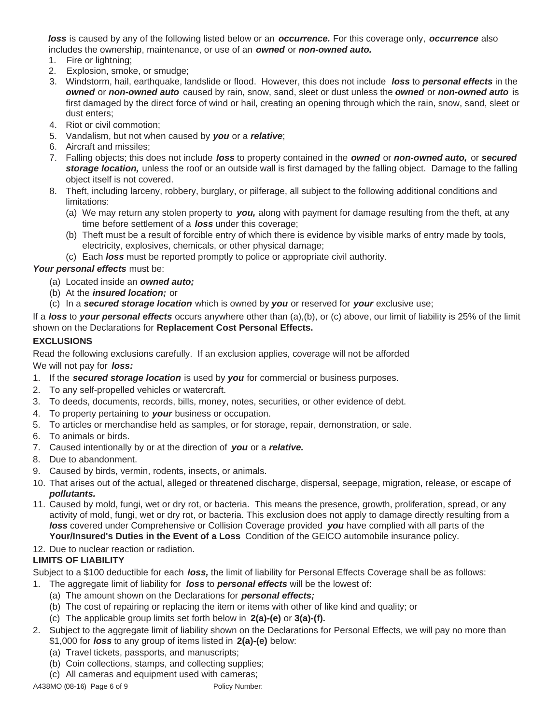*loss* is caused by any of the following listed below or an *occurrence.* For this coverage only, *occurrence* also includes the ownership, maintenance, or use of an *owned* or *non-owned auto.*

- 1. Fire or lightning;
- 2. Explosion, smoke, or smudge;
- 3. Windstorm, hail, earthquake, landslide or flood. However, this does not include *loss* to *personal effects* in the *owned* or *non-owned auto* caused by rain, snow, sand, sleet or dust unless the *owned* or *non-owned auto* is first damaged by the direct force of wind or hail, creating an opening through which the rain, snow, sand, sleet or dust enters;
- 4. Riot or civil commotion;
- 5. Vandalism, but not when caused by *you* or a *relative*;
- 6. Aircraft and missiles;
- 7. Falling objects; this does not include *loss* to property contained in the *owned* or *non-owned auto,* or *secured storage location,* unless the roof or an outside wall is first damaged by the falling object. Damage to the falling object itself is not covered.
- 8. Theft, including larceny, robbery, burglary, or pilferage, all subject to the following additional conditions and limitations:
	- (a) We may return any stolen property to *you,* along with payment for damage resulting from the theft, at any time before settlement of a *loss* under this coverage;
	- (b) Theft must be a result of forcible entry of which there is evidence by visible marks of entry made by tools, electricity, explosives, chemicals, or other physical damage;
	- (c) Each *loss* must be reported promptly to police or appropriate civil authority.

*Your personal effects* must be:

- (a) Located inside an *owned auto;*
- (b) At the *insured location;* or
- (c) In a *secured storage location* which is owned by *you* or reserved for *your* exclusive use;

If a *loss* to *your personal effects* occurs anywhere other than (a),(b), or (c) above, our limit of liability is 25% of the limit shown on the Declarations for **Replacement Cost Personal Effects.**

### **EXCLUSIONS**

Read the following exclusions carefully. If an exclusion applies, coverage will not be afforded We will not pay for *loss:*

- 1. If the *secured storage location* is used by *you* for commercial or business purposes.
- 2. To any self-propelled vehicles or watercraft.
- 3. To deeds, documents, records, bills, money, notes, securities, or other evidence of debt.
- 4. To property pertaining to *your* business or occupation.
- 5. To articles or merchandise held as samples, or for storage, repair, demonstration, or sale.
- 6. To animals or birds.
- 7. Caused intentionally by or at the direction of *you* or a *relative.*
- 8. Due to abandonment.
- 9. Caused by birds, vermin, rodents, insects, or animals.
- 10. That arises out of the actual, alleged or threatened discharge, dispersal, seepage, migration, release, or escape of *pollutants.*
- 11. Caused by mold, fungi, wet or dry rot, or bacteria. This means the presence, growth, proliferation, spread, or any activity of mold, fungi, wet or dry rot, or bacteria. This exclusion does not apply to damage directly resulting from a *loss* covered under Comprehensive or Collision Coverage provided *you* have complied with all parts of the **Your/Insured's Duties in the Event of a Loss** Condition of the GEICO automobile insurance policy.
- 12. Due to nuclear reaction or radiation.

# **LIMITS OF LIABILITY**

Subject to a \$100 deductible for each *loss,* the limit of liability for Personal Effects Coverage shall be as follows:

- 1. The aggregate limit of liability for *loss* to *personal effects* will be the lowest of:
	- (a) The amount shown on the Declarations for *personal effects;*
	- (b) The cost of repairing or replacing the item or items with other of like kind and quality; or
	- (c) The applicable group limits set forth below in **2(a)-(e)** or **3(a)-(f).**
- 2. Subject to the aggregate limit of liability shown on the Declarations for Personal Effects, we will pay no more than \$1,000 for *loss* to any group of items listed in **2(a)-(e)** below:
	- (a) Travel tickets, passports, and manuscripts;
	- (b) Coin collections, stamps, and collecting supplies;
	- (c) All cameras and equipment used with cameras;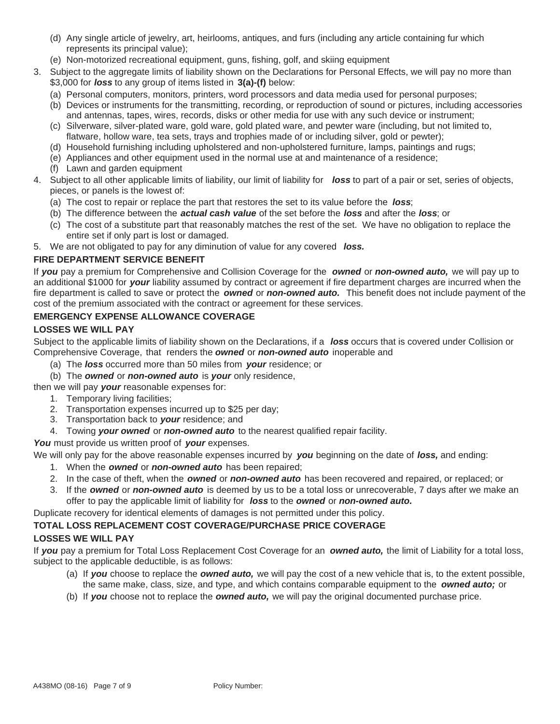- (d) Any single article of jewelry, art, heirlooms, antiques, and furs (including any article containing fur which represents its principal value);
- (e) Non-motorized recreational equipment, guns, fishing, golf, and skiing equipment
- 3. Subject to the aggregate limits of liability shown on the Declarations for Personal Effects, we will pay no more than \$3,000 for *loss* to any group of items listed in **3(a)-(f)** below:
	- (a) Personal computers, monitors, printers, word processors and data media used for personal purposes;
	- (b) Devices or instruments for the transmitting, recording, or reproduction of sound or pictures, including accessories and antennas, tapes, wires, records, disks or other media for use with any such device or instrument;
	- (c) Silverware, silver-plated ware, gold ware, gold plated ware, and pewter ware (including, but not limited to, flatware, hollow ware, tea sets, trays and trophies made of or including silver, gold or pewter);
	- (d) Household furnishing including upholstered and non-upholstered furniture, lamps, paintings and rugs;
	- (e) Appliances and other equipment used in the normal use at and maintenance of a residence;
	- (f) Lawn and garden equipment
- 4. Subject to all other applicable limits of liability, our limit of liability for *loss* to part of a pair or set, series of objects, pieces, or panels is the lowest of:
	- (a) The cost to repair or replace the part that restores the set to its value before the *loss*;
	- (b) The difference between the *actual cash value* of the set before the *loss* and after the *loss*; or
	- (c) The cost of a substitute part that reasonably matches the rest of the set. We have no obligation to replace the entire set if only part is lost or damaged.
- 5. We are not obligated to pay for any diminution of value for any covered *loss.*

### **FIRE DEPARTMENT SERVICE BENEFIT**

If *you* pay a premium for Comprehensive and Collision Coverage for the *owned* or *non-owned auto,* we will pay up to an additional \$1000 for *your* liability assumed by contract or agreement if fire department charges are incurred when the fire department is called to save or protect the *owned* or *non-owned auto.* This benefit does not include payment of the cost of the premium associated with the contract or agreement for these services.

### **EMERGENCY EXPENSE ALLOWANCE COVERAGE**

#### **LOSSES WE WILL PAY**

Subject to the applicable limits of liability shown on the Declarations, if a *loss* occurs that is covered under Collision or Comprehensive Coverage, that renders the *owned* or *non-owned auto* inoperable and

- (a) The *loss* occurred more than 50 miles from *your* residence; or
- (b) The *owned* or *non-owned auto* is *your* only residence,

then we will pay *your* reasonable expenses for:

- 1. Temporary living facilities;
- 2. Transportation expenses incurred up to \$25 per day;
- 3. Transportation back to *your* residence; and
- 4. Towing *your owned* or *non-owned auto* to the nearest qualified repair facility.

You must provide us written proof of *your* expenses.

We will only pay for the above reasonable expenses incurred by *you* beginning on the date of *loss,* and ending:

- 1. When the *owned* or *non-owned auto* has been repaired;
- 2. In the case of theft, when the *owned* or *non-owned auto* has been recovered and repaired, or replaced; or
- 3. If the *owned* or *non-owned auto* is deemed by us to be a total loss or unrecoverable, 7 days after we make an offer to pay the applicable limit of liability for *loss* to the *owned* or *non-owned auto.*

Duplicate recovery for identical elements of damages is not permitted under this policy.

### **TOTAL LOSS REPLACEMENT COST COVERAGE/PURCHASE PRICE COVERAGE**

### **LOSSES WE WILL PAY**

If *you* pay a premium for Total Loss Replacement Cost Coverage for an *owned auto,* the limit of Liability for a total loss, subject to the applicable deductible, is as follows:

- (a) If *you* choose to replace the *owned auto,* we will pay the cost of a new vehicle that is, to the extent possible, the same make, class, size, and type, and which contains comparable equipment to the *owned auto;* or
- (b) If *you* choose not to replace the *owned auto,* we will pay the original documented purchase price.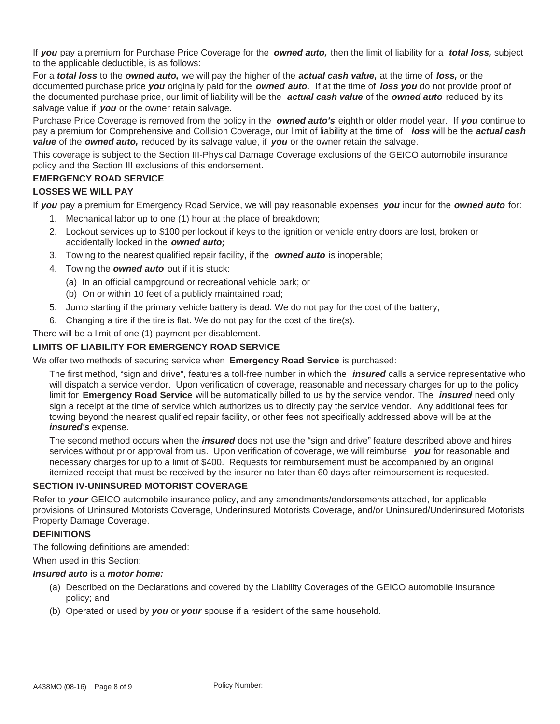If *you* pay a premium for Purchase Price Coverage for the *owned auto,* then the limit of liability for a *total loss,* subject to the applicable deductible, is as follows:

For a *total loss* to the *owned auto,* we will pay the higher of the *actual cash value,* at the time of *loss,* or the documented purchase price *you* originally paid for the *owned auto.* If at the time of *loss you* do not provide proof of the documented purchase price, our limit of liability will be the *actual cash value* of the *owned auto* reduced by its salvage value if *you* or the owner retain salvage.

Purchase Price Coverage is removed from the policy in the *owned auto's* eighth or older model year.If *you* continue to pay a premium for Comprehensive and Collision Coverage, our limit of liability at the time of *loss* will be the *actual cash value* of the *owned auto,* reduced by its salvage value, if *you* or the owner retain the salvage.

This coverage is subject to the Section III-Physical Damage Coverage exclusions of the GEICO automobile insurance policy and the Section III exclusions of this endorsement.

### **EMERGENCY ROAD SERVICE**

### **LOSSES WE WILL PAY**

If *you* pay a premium for Emergency Road Service, we will pay reasonable expenses *you* incur for the *owned auto* for:

- 1. Mechanical labor up to one (1) hour at the place of breakdown;
- 2. Lockout services up to \$100 per lockout if keys to the ignition or vehicle entry doors are lost, broken or accidentally locked in the *owned auto;*
- 3. Towing to the nearest qualified repair facility, if the *owned auto* is inoperable;
- 4. Towing the *owned auto* out if it is stuck:
	- (a) In an official campground or recreational vehicle park; or
	- (b) On or within 10 feet of a publicly maintained road;
- 5. Jump starting if the primary vehicle battery is dead. We do not pay for the cost of the battery;
- 6. Changing a tire if the tire is flat. We do not pay for the cost of the tire(s).

There will be a limit of one (1) payment per disablement.

### **LIMITS OF LIABILITY FOR EMERGENCY ROAD SERVICE**

#### We offer two methods of securing service when **Emergency Road Service** is purchased:

The first method, "sign and drive", features a toll-free number in which the *insured* calls a service representative who will dispatch a service vendor. Upon verification of coverage, reasonable and necessary charges for up to the policy limit for **Emergency Road Service** will be automatically billed to us by the service vendor. The *insured* need only sign a receipt at the time of service which authorizes us to directly pay the service vendor. Any additional fees for towing beyond the nearest qualified repair facility, or other fees not specifically addressed above will be at the *insured's* expense.

The second method occurs when the *insured* does not use the "sign and drive" feature described above and hires services without prior approval from us. Upon verification of coverage, we will reimburse *you* for reasonable and necessary charges for up to a limit of \$400. Requests for reimbursement must be accompanied by an original itemized receipt that must be received by the insurer no later than 60 days after reimbursement is requested.

#### **SECTION IV-UNINSURED MOTORIST COVERAGE**

Refer to *your* GEICO automobile insurance policy, and any amendments/endorsements attached, for applicable provisions of Uninsured Motorists Coverage, Underinsured Motorists Coverage, and/or Uninsured/Underinsured Motorists Property Damage Coverage.

#### **DEFINITIONS**

The following definitions are amended:

When used in this Section:

#### *Insured auto* is a *motor home:*

- (a) Described on the Declarations and covered by the Liability Coverages of the GEICO automobile insurance policy; and
- (b) Operated or used by *you* or *your* spouse if a resident of the same household.